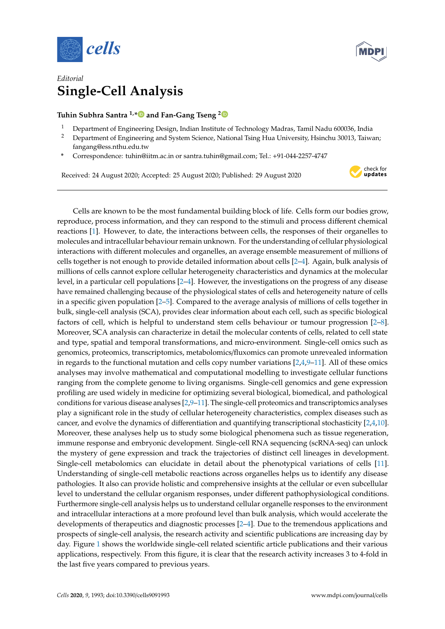



## *Editorial* **Single-Cell Analysis**

## **Tuhin Subhra Santra 1,\* and Fan-Gang Tseng <sup>2</sup>**

- <sup>1</sup> Department of Engineering Design, Indian Institute of Technology Madras, Tamil Nadu 600036, India
- <sup>2</sup> Department of Engineering and System Science, National Tsing Hua University, Hsinchu 30013, Taiwan; fangang@ess.nthu.edu.tw
- **\*** Correspondence: tuhin@iitm.ac.in or santra.tuhin@gmail.com; Tel.: +91-044-2257-4747

Received: 24 August 2020; Accepted: 25 August 2020; Published: 29 August 2020



Cells are known to be the most fundamental building block of life. Cells form our bodies grow, reproduce, process information, and they can respond to the stimuli and process different chemical reactions [1]. However, to date, the interactions between cells, the responses of their organelles to molecules and intracellular behaviour remain unknown. For the understanding of cellular physiological interactions with different molecules and organelles, an average ensemble measurement of millions of cells together is not enough to provide detailed information about cells [2–4]. Again, bulk analysis of millions of cells cannot explore cellular heterogeneity characteristics and dynamics at the molecular level, in a particular cell populations [2–4]. However, the investigations on the progress of any disease have remained challenging because of the physiological states of cells and heterogeneity nature of cells in a specific given population [2–5]. Compared to the average analysis of millions of cells together in bulk, single-cell analysis (SCA), provides clear information about each cell, such as specific biological factors of cell, which is helpful to understand stem cells behaviour or tumour progression [2–8]. Moreover, SCA analysis can characterize in detail the molecular contents of cells, related to cell state and type, spatial and temporal transformations, and micro-environment. Single-cell omics such as genomics, proteomics, transcriptomics, metabolomics/fluxomics can promote unrevealed information in regards to the functional mutation and cells copy number variations  $[2,4,9-11]$ . All of these omics analyses may involve mathematical and computational modelling to investigate cellular functions ranging from the complete genome to living organisms. Single-cell genomics and gene expression profiling are used widely in medicine for optimizing several biological, biomedical, and pathological conditions for various disease analyses [2,9–11]. The single-cell proteomics and transcriptomics analyses play a significant role in the study of cellular heterogeneity characteristics, complex diseases such as cancer, and evolve the dynamics of differentiation and quantifying transcriptional stochasticity [2,4,10]. Moreover, these analyses help us to study some biological phenomena such as tissue regeneration, immune response and embryonic development. Single-cell RNA sequencing (scRNA-seq) can unlock the mystery of gene expression and track the trajectories of distinct cell lineages in development. Single-cell metabolomics can elucidate in detail about the phenotypical variations of cells [11]. Understanding of single-cell metabolic reactions across organelles helps us to identify any disease pathologies. It also can provide holistic and comprehensive insights at the cellular or even subcellular level to understand the cellular organism responses, under different pathophysiological conditions. Furthermore single-cell analysis helps us to understand cellular organelle responses to the environment and intracellular interactions at a more profound level than bulk analysis, which would accelerate the developments of therapeutics and diagnostic processes [2–4]. Due to the tremendous applications and prospects of single-cell analysis, the research activity and scientific publications are increasing day by day. Figure 1 shows the worldwide single-cell related scientific article publications and their various applications, respectively. From this figure, it is clear that the research activity increases 3 to 4-fold in the last five years compared to previous years.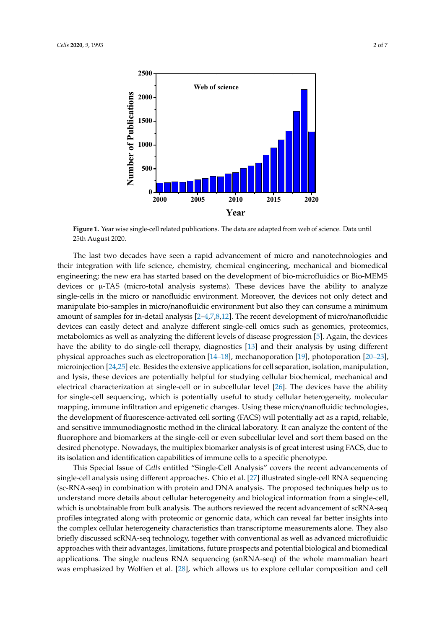

**Figure 1.** Year wise single-cell related publications. The data are adapted from web of science. Data until 25th August 2020.

The last two decades have seen a rapid advancement of micro and nanotechnologies and their integration with life science, chemistry, chemical engineering, mechanical and biomedical engineering; the new era has started based on the development of bio-microfluidics or Bio-MEMS devices or  $\mu$ -TAS (micro-total analysis systems). These devices have the ability to analyze single-cells in the micro or nanofluidic environment. Moreover, the devices not only detect and manipulate bio-samples in micro/nanofluidic environment but also they can consume a minimum amount of samples for in-detail analysis  $[2-4,7,8,12]$ . The recent development of micro/nanofluidic devices can easily detect and analyze different single-cell omics such as genomics, proteomics, metabolomics as well as analyzing the different levels of disease progression [5]. Again, the devices have the ability to do single-cell therapy, diagnostics [13] and their analysis by using different physical approaches such as electroporation [14–18], mechanoporation [19], photoporation [20–23], microinjection [24,25] etc. Besides the extensive applications for cell separation, isolation, manipulation, and lysis, these devices are potentially helpful for studying cellular biochemical, mechanical and electrical characterization at single-cell or in subcellular level [26]. The devices have the ability for single-cell sequencing, which is potentially useful to study cellular heterogeneity, molecular mapping, immune infiltration and epigenetic changes. Using these micro/nanofluidic technologies, the development of fluorescence-activated cell sorting (FACS) will potentially act as a rapid, reliable, and sensitive immunodiagnostic method in the clinical laboratory. It can analyze the content of the fluorophore and biomarkers at the single-cell or even subcellular level and sort them based on the desired phenotype. Nowadays, the multiplex biomarker analysis is of great interest using FACS, due to its isolation and identification capabilities of immune cells to a specific phenotype.

This Special Issue of *Cells* entitled "Single-Cell Analysis" covers the recent advancements of single-cell analysis using different approaches. Chio et al. [27] illustrated single-cell RNA sequencing (sc-RNA-seq) in combination with protein and DNA analysis. The proposed techniques help us to understand more details about cellular heterogeneity and biological information from a single-cell, which is unobtainable from bulk analysis. The authors reviewed the recent advancement of scRNA-seq profiles integrated along with proteomic or genomic data, which can reveal far better insights into the complex cellular heterogeneity characteristics than transcriptome measurements alone. They also briefly discussed scRNA-seq technology, together with conventional as well as advanced microfluidic approaches with their advantages, limitations, future prospects and potential biological and biomedical applications. The single nucleus RNA sequencing (snRNA-seq) of the whole mammalian heart was emphasized by Wolfien et al. [28], which allows us to explore cellular composition and cell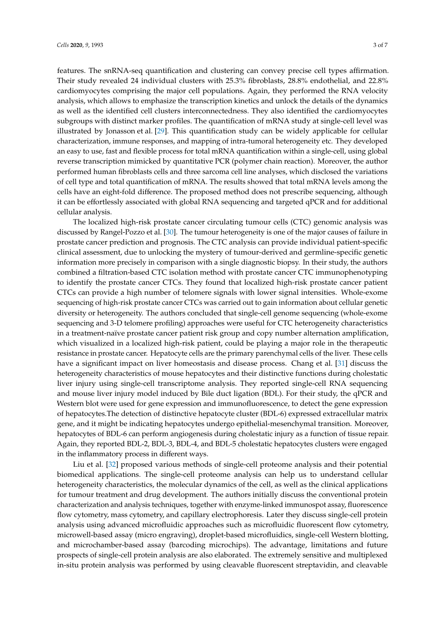features. The snRNA-seq quantification and clustering can convey precise cell types affirmation. Their study revealed 24 individual clusters with 25.3% fibroblasts, 28.8% endothelial, and 22.8% cardiomyocytes comprising the major cell populations. Again, they performed the RNA velocity analysis, which allows to emphasize the transcription kinetics and unlock the details of the dynamics as well as the identified cell clusters interconnectedness. They also identified the cardiomyocytes subgroups with distinct marker profiles. The quantification of mRNA study at single-cell level was illustrated by Jonasson et al. [29]. This quantification study can be widely applicable for cellular characterization, immune responses, and mapping of intra-tumoral heterogeneity etc. They developed an easy to use, fast and flexible process for total mRNA quantification within a single-cell, using global reverse transcription mimicked by quantitative PCR (polymer chain reaction). Moreover, the author performed human fibroblasts cells and three sarcoma cell line analyses, which disclosed the variations of cell type and total quantification of mRNA. The results showed that total mRNA levels among the cells have an eight-fold difference. The proposed method does not prescribe sequencing, although it can be effortlessly associated with global RNA sequencing and targeted qPCR and for additional cellular analysis.

The localized high-risk prostate cancer circulating tumour cells (CTC) genomic analysis was discussed by Rangel-Pozzo et al. [30]. The tumour heterogeneity is one of the major causes of failure in prostate cancer prediction and prognosis. The CTC analysis can provide individual patient-specific clinical assessment, due to unlocking the mystery of tumour-derived and germline-specific genetic information more precisely in comparison with a single diagnostic biopsy. In their study, the authors combined a filtration-based CTC isolation method with prostate cancer CTC immunophenotyping to identify the prostate cancer CTCs. They found that localized high-risk prostate cancer patient CTCs can provide a high number of telomere signals with lower signal intensities. Whole-exome sequencing of high-risk prostate cancer CTCs was carried out to gain information about cellular genetic diversity or heterogeneity. The authors concluded that single-cell genome sequencing (whole-exome sequencing and 3-D telomere profiling) approaches were useful for CTC heterogeneity characteristics in a treatment-naïve prostate cancer patient risk group and copy number alternation amplification, which visualized in a localized high-risk patient, could be playing a major role in the therapeutic resistance in prostate cancer. Hepatocyte cells are the primary parenchymal cells of the liver. These cells have a significant impact on liver homeostasis and disease process. Chang et al. [31] discuss the heterogeneity characteristics of mouse hepatocytes and their distinctive functions during cholestatic liver injury using single-cell transcriptome analysis. They reported single-cell RNA sequencing and mouse liver injury model induced by Bile duct ligation (BDL). For their study, the qPCR and Western blot were used for gene expression and immunofluorescence, to detect the gene expression of hepatocytes.The detection of distinctive hepatocyte cluster (BDL-6) expressed extracellular matrix gene, and it might be indicating hepatocytes undergo epithelial-mesenchymal transition. Moreover, hepatocytes of BDL-6 can perform angiogenesis during cholestatic injury as a function of tissue repair. Again, they reported BDL-2, BDL-3, BDL-4, and BDL-5 cholestatic hepatocytes clusters were engaged in the inflammatory process in different ways.

Liu et al. [32] proposed various methods of single-cell proteome analysis and their potential biomedical applications. The single-cell proteome analysis can help us to understand cellular heterogeneity characteristics, the molecular dynamics of the cell, as well as the clinical applications for tumour treatment and drug development. The authors initially discuss the conventional protein characterization and analysis techniques, together with enzyme-linked immunospot assay, fluorescence flow cytometry, mass cytometry, and capillary electrophoresis. Later they discuss single-cell protein analysis using advanced microfluidic approaches such as microfluidic fluorescent flow cytometry, microwell-based assay (micro engraving), droplet-based microfluidics, single-cell Western blotting, and microchamber-based assay (barcoding microchips). The advantage, limitations and future prospects of single-cell protein analysis are also elaborated. The extremely sensitive and multiplexed in-situ protein analysis was performed by using cleavable fluorescent streptavidin, and cleavable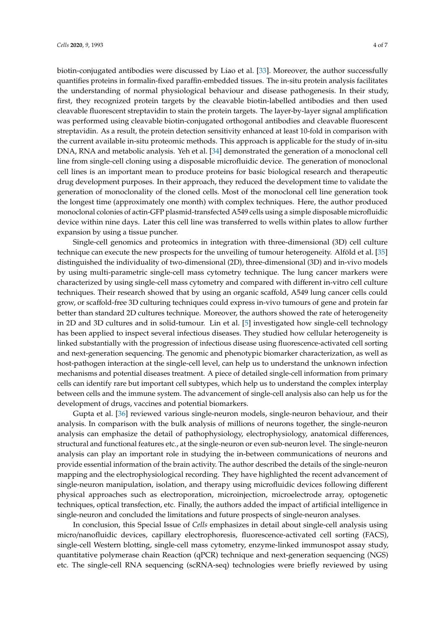biotin-conjugated antibodies were discussed by Liao et al. [33]. Moreover, the author successfully quantifies proteins in formalin-fixed paraffin-embedded tissues. The in-situ protein analysis facilitates the understanding of normal physiological behaviour and disease pathogenesis. In their study, first, they recognized protein targets by the cleavable biotin-labelled antibodies and then used cleavable fluorescent streptavidin to stain the protein targets. The layer-by-layer signal amplification was performed using cleavable biotin-conjugated orthogonal antibodies and cleavable fluorescent streptavidin. As a result, the protein detection sensitivity enhanced at least 10-fold in comparison with the current available in-situ proteomic methods. This approach is applicable for the study of in-situ DNA, RNA and metabolic analysis. Yeh et al. [34] demonstrated the generation of a monoclonal cell line from single-cell cloning using a disposable microfluidic device. The generation of monoclonal cell lines is an important mean to produce proteins for basic biological research and therapeutic drug development purposes. In their approach, they reduced the development time to validate the generation of monoclonality of the cloned cells. Most of the monoclonal cell line generation took the longest time (approximately one month) with complex techniques. Here, the author produced monoclonal colonies of actin-GFP plasmid-transfected A549 cells using a simple disposable microfluidic device within nine days. Later this cell line was transferred to wells within plates to allow further expansion by using a tissue puncher.

Single-cell genomics and proteomics in integration with three-dimensional (3D) cell culture technique can execute the new prospects for the unveiling of tumour heterogeneity. Alföld et al. [35] distinguished the individuality of two-dimensional (2D), three-dimensional (3D) and in-vivo models by using multi-parametric single-cell mass cytometry technique. The lung cancer markers were characterized by using single-cell mass cytometry and compared with different in-vitro cell culture techniques. Their research showed that by using an organic scaffold, A549 lung cancer cells could grow, or scaffold-free 3D culturing techniques could express in-vivo tumours of gene and protein far better than standard 2D cultures technique. Moreover, the authors showed the rate of heterogeneity in 2D and 3D cultures and in solid-tumour. Lin et al. [5] investigated how single-cell technology has been applied to inspect several infectious diseases. They studied how cellular heterogeneity is linked substantially with the progression of infectious disease using fluorescence-activated cell sorting and next-generation sequencing. The genomic and phenotypic biomarker characterization, as well as host-pathogen interaction at the single-cell level, can help us to understand the unknown infection mechanisms and potential diseases treatment. A piece of detailed single-cell information from primary cells can identify rare but important cell subtypes, which help us to understand the complex interplay between cells and the immune system. The advancement of single-cell analysis also can help us for the development of drugs, vaccines and potential biomarkers.

Gupta et al. [36] reviewed various single-neuron models, single-neuron behaviour, and their analysis. In comparison with the bulk analysis of millions of neurons together, the single-neuron analysis can emphasize the detail of pathophysiology, electrophysiology, anatomical differences, structural and functional features etc., at the single-neuron or even sub-neuron level. The single-neuron analysis can play an important role in studying the in-between communications of neurons and provide essential information of the brain activity. The author described the details of the single-neuron mapping and the electrophysiological recording. They have highlighted the recent advancement of single-neuron manipulation, isolation, and therapy using microfluidic devices following different physical approaches such as electroporation, microinjection, microelectrode array, optogenetic techniques, optical transfection, etc. Finally, the authors added the impact of artificial intelligence in single-neuron and concluded the limitations and future prospects of single-neuron analyses.

In conclusion, this Special Issue of *Cells* emphasizes in detail about single-cell analysis using micro/nanofluidic devices, capillary electrophoresis, fluorescence-activated cell sorting (FACS), single-cell Western blotting, single-cell mass cytometry, enzyme-linked immunospot assay study, quantitative polymerase chain Reaction (qPCR) technique and next-generation sequencing (NGS) etc. The single-cell RNA sequencing (scRNA-seq) technologies were briefly reviewed by using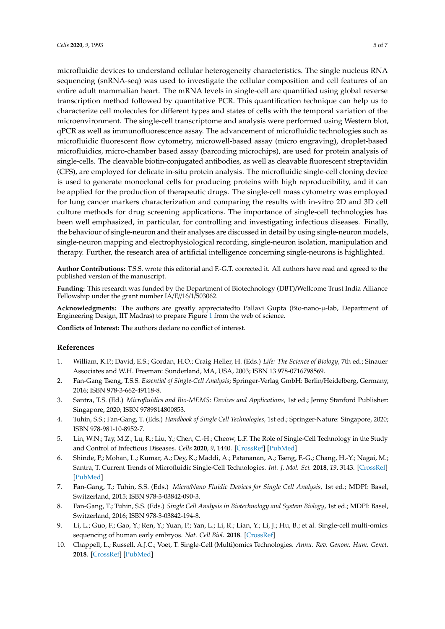microfluidic devices to understand cellular heterogeneity characteristics. The single nucleus RNA sequencing (snRNA-seq) was used to investigate the cellular composition and cell features of an entire adult mammalian heart. The mRNA levels in single-cell are quantified using global reverse transcription method followed by quantitative PCR. This quantification technique can help us to characterize cell molecules for different types and states of cells with the temporal variation of the microenvironment. The single-cell transcriptome and analysis were performed using Western blot, qPCR as well as immunofluorescence assay. The advancement of microfluidic technologies such as microfluidic fluorescent flow cytometry, microwell-based assay (micro engraving), droplet-based microfluidics, micro-chamber based assay (barcoding microchips), are used for protein analysis of single-cells. The cleavable biotin-conjugated antibodies, as well as cleavable fluorescent streptavidin (CFS), are employed for delicate in-situ protein analysis. The microfluidic single-cell cloning device is used to generate monoclonal cells for producing proteins with high reproducibility, and it can be applied for the production of therapeutic drugs. The single-cell mass cytometry was employed for lung cancer markers characterization and comparing the results with in-vitro 2D and 3D cell culture methods for drug screening applications. The importance of single-cell technologies has been well emphasized, in particular, for controlling and investigating infectious diseases. Finally, the behaviour of single-neuron and their analyses are discussed in detail by using single-neuron models, single-neuron mapping and electrophysiological recording, single-neuron isolation, manipulation and therapy. Further, the research area of artificial intelligence concerning single-neurons is highlighted.

**Author Contributions:** T.S.S. wrote this editorial and F.-G.T. corrected it. All authors have read and agreed to the published version of the manuscript.

**Funding:** This research was funded by the Department of Biotechnology (DBT)/Wellcome Trust India Alliance Fellowship under the grant number IA/E//16/1/503062.

**Acknowledgments:** The authors are greatly appreciatedto Pallavi Gupta (Bio-nano-µ-lab, Department of Engineering Design, IIT Madras) to prepare Figure 1 from the web of science.

**Conflicts of Interest:** The authors declare no conflict of interest.

## **References**

- 1. William, K.P.; David, E.S.; Gordan, H.O.; Craig Heller, H. (Eds.) *Life: The Science of Biology*, 7th ed.; Sinauer Associates and W.H. Freeman: Sunderland, MA, USA, 2003; ISBN 13 978-0716798569.
- 2. Fan-Gang Tseng, T.S.S. *Essential of Single-Cell Analysis*; Springer-Verlag GmbH: Berlin/Heidelberg, Germany, 2016; ISBN 978-3-662-49118-8.
- 3. Santra, T.S. (Ed.) *Microfluidics and Bio-MEMS: Devices and Applications*, 1st ed.; Jenny Stanford Publisher: Singapore, 2020; ISBN 9789814800853.
- 4. Tuhin, S.S.; Fan-Gang, T. (Eds.) *Handbook of Single Cell Technologies*, 1st ed.; Springer-Nature: Singapore, 2020; ISBN 978-981-10-8952-7.
- 5. Lin, W.N.; Tay, M.Z.; Lu, R.; Liu, Y.; Chen, C.-H.; Cheow, L.F. The Role of Single-Cell Technology in the Study and Control of Infectious Diseases. *Cells* **2020**, *9*, 1440. [CrossRef] [PubMed]
- 6. Shinde, P.; Mohan, L.; Kumar, A.; Dey, K.; Maddi, A.; Patananan, A.; Tseng, F.-G.; Chang, H.-Y.; Nagai, M.; Santra, T. Current Trends of Microfluidic Single-Cell Technologies. *Int. J. Mol. Sci.* **2018**, *19*, 3143. [CrossRef] [PubMed]
- 7. Fan-Gang, T.; Tuhin, S.S. (Eds.) *Micro*/*Nano Fluidic Devices for Single Cell Analysis*, 1st ed.; MDPI: Basel, Switzerland, 2015; ISBN 978-3-03842-090-3.
- 8. Fan-Gang, T.; Tuhin, S.S. (Eds.) *Single Cell Analysis in Biotechnology and System Biology*, 1st ed.; MDPI: Basel, Switzerland, 2016; ISBN 978-3-03842-194-8.
- 9. Li, L.; Guo, F.; Gao, Y.; Ren, Y.; Yuan, P.; Yan, L.; Li, R.; Lian, Y.; Li, J.; Hu, B.; et al. Single-cell multi-omics sequencing of human early embryos. *Nat. Cell Biol.* **2018**. [CrossRef]
- 10. Chappell, L.; Russell, A.J.C.; Voet, T. Single-Cell (Multi)omics Technologies. *Annu. Rev. Genom. Hum. Genet.* **2018**. [CrossRef] [PubMed]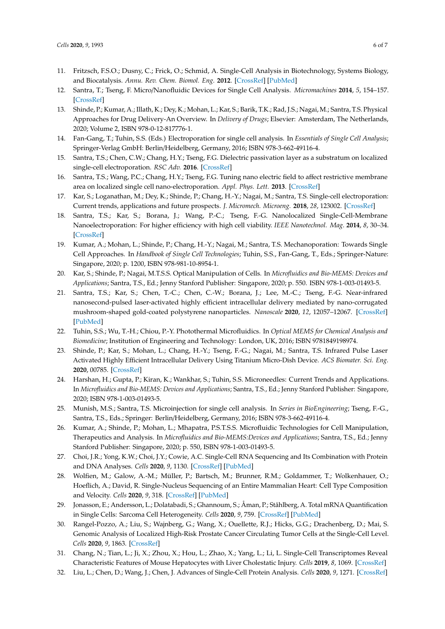- 11. Fritzsch, F.S.O.; Dusny, C.; Frick, O.; Schmid, A. Single-Cell Analysis in Biotechnology, Systems Biology, and Biocatalysis. *Annu. Rev. Chem. Biomol. Eng.* **2012**. [CrossRef] [PubMed]
- 12. Santra, T.; Tseng, F. Micro/Nanofluidic Devices for Single Cell Analysis. *Micromachines* **2014**, *5*, 154–157. [CrossRef]
- 13. Shinde, P.; Kumar, A.; Illath, K.; Dey, K.; Mohan, L.; Kar, S.; Barik, T.K.; Rad, J.S.; Nagai, M.; Santra, T.S. Physical Approaches for Drug Delivery-An Overview. In *Delivery of Drugs*; Elsevier: Amsterdam, The Netherlands, 2020; Volume 2, ISBN 978-0-12-817776-1.
- 14. Fan-Gang, T.; Tuhin, S.S. (Eds.) Electroporation for single cell analysis. In *Essentials of Single Cell Analysis*; Springer-Verlag GmbH: Berlin/Heidelberg, Germany, 2016; ISBN 978-3-662-49116-4.
- 15. Santra, T.S.; Chen, C.W.; Chang, H.Y.; Tseng, F.G. Dielectric passivation layer as a substratum on localized single-cell electroporation. *RSC Adv.* **2016**. [CrossRef]
- 16. Santra, T.S.; Wang, P.C.; Chang, H.Y.; Tseng, F.G. Tuning nano electric field to affect restrictive membrane area on localized single cell nano-electroporation. *Appl. Phys. Lett.* **2013**. [CrossRef]
- 17. Kar, S.; Loganathan, M.; Dey, K.; Shinde, P.; Chang, H.-Y.; Nagai, M.; Santra, T.S. Single-cell electroporation: Current trends, applications and future prospects. *J. Micromech. Microeng.* **2018**, *28*, 123002. [CrossRef]
- 18. Santra, T.S.; Kar, S.; Borana, J.; Wang, P.-C.; Tseng, F.-G. Nanolocalized Single-Cell-Membrane Nanoelectroporation: For higher efficiency with high cell viability. *IEEE Nanotechnol. Mag.* **2014**, *8*, 30–34. [CrossRef]
- 19. Kumar, A.; Mohan, L.; Shinde, P.; Chang, H.-Y.; Nagai, M.; Santra, T.S. Mechanoporation: Towards Single Cell Approaches. In *Handbook of Single Cell Technologies*; Tuhin, S.S., Fan-Gang, T., Eds.; Springer-Nature: Singapore, 2020; p. 1200, ISBN 978-981-10-8954-1.
- 20. Kar, S.; Shinde, P.; Nagai, M.T.S.S. Optical Manipulation of Cells. In *Microfluidics and Bio-MEMS: Devices and Applications*; Santra, T.S., Ed.; Jenny Stanford Publisher: Singapore, 2020; p. 550. ISBN 978-1-003-01493-5.
- 21. Santra, T.S.; Kar, S.; Chen, T.-C.; Chen, C.-W.; Borana, J.; Lee, M.-C.; Tseng, F.-G. Near-infrared nanosecond-pulsed laser-activated highly efficient intracellular delivery mediated by nano-corrugated mushroom-shaped gold-coated polystyrene nanoparticles. *Nanoscale* **2020**, *12*, 12057–12067. [CrossRef] [PubMed]
- 22. Tuhin, S.S.; Wu, T.-H.; Chiou, P.-Y. Photothermal Microfluidics. In *Optical MEMS for Chemical Analysis and Biomedicine*; Institution of Engineering and Technology: London, UK, 2016; ISBN 9781849198974.
- 23. Shinde, P.; Kar, S.; Mohan, L.; Chang, H.-Y.; Tseng, F.-G.; Nagai, M.; Santra, T.S. Infrared Pulse Laser Activated Highly Efficient Intracellular Delivery Using Titanium Micro-Dish Device. *ACS Biomater. Sci. Eng.* **2020**, 00785. [CrossRef]
- 24. Harshan, H.; Gupta, P.; Kiran, K.; Wankhar, S.; Tuhin, S.S. Microneedles: Current Trends and Applications. In *Microfluidics and Bio-MEMS: Devices and Applications*; Santra, T.S., Ed.; Jenny Stanford Publisher: Singapore, 2020; ISBN 978-1-003-01493-5.
- 25. Munish, M.S.; Santra, T.S. Microinjection for single cell analysis. In *Series in BioEngineering*; Tseng, F.-G., Santra, T.S., Eds.; Springer: Berlin/Heidelberg, Germany, 2016; ISBN 978-3-662-49116-4.
- 26. Kumar, A.; Shinde, P.; Mohan, L.; Mhapatra, P.S.T.S.S. Microfluidic Technologies for Cell Manipulation, Therapeutics and Analysis. In *Microfluidics and Bio-MEMS:Devices and Applications*; Santra, T.S., Ed.; Jenny Stanford Publisher: Singapore, 2020; p. 550, ISBN 978-1-003-01493-5.
- 27. Choi, J.R.; Yong, K.W.; Choi, J.Y.; Cowie, A.C. Single-Cell RNA Sequencing and Its Combination with Protein and DNA Analyses. *Cells* **2020**, *9*, 1130. [CrossRef] [PubMed]
- 28. Wolfien, M.; Galow, A.-M.; Müller, P.; Bartsch, M.; Brunner, R.M.; Goldammer, T.; Wolkenhauer, O.; Hoeflich, A.; David, R. Single-Nucleus Sequencing of an Entire Mammalian Heart: Cell Type Composition and Velocity. *Cells* **2020**, *9*, 318. [CrossRef] [PubMed]
- 29. Jonasson, E.; Andersson, L.; Dolatabadi, S.; Ghannoum, S.; Åman, P.; Ståhlberg, A. Total mRNA Quantification in Single Cells: Sarcoma Cell Heterogeneity. *Cells* **2020**, *9*, 759. [CrossRef] [PubMed]
- 30. Rangel-Pozzo, A.; Liu, S.; Wajnberg, G.; Wang, X.; Ouellette, R.J.; Hicks, G.G.; Drachenberg, D.; Mai, S. Genomic Analysis of Localized High-Risk Prostate Cancer Circulating Tumor Cells at the Single-Cell Level. *Cells* **2020**, *9*, 1863. [CrossRef]
- 31. Chang, N.; Tian, L.; Ji, X.; Zhou, X.; Hou, L.; Zhao, X.; Yang, L.; Li, L. Single-Cell Transcriptomes Reveal Characteristic Features of Mouse Hepatocytes with Liver Cholestatic Injury. *Cells* **2019**, *8*, 1069. [CrossRef]
- 32. Liu, L.; Chen, D.; Wang, J.; Chen, J. Advances of Single-Cell Protein Analysis. *Cells* **2020**, *9*, 1271. [CrossRef]